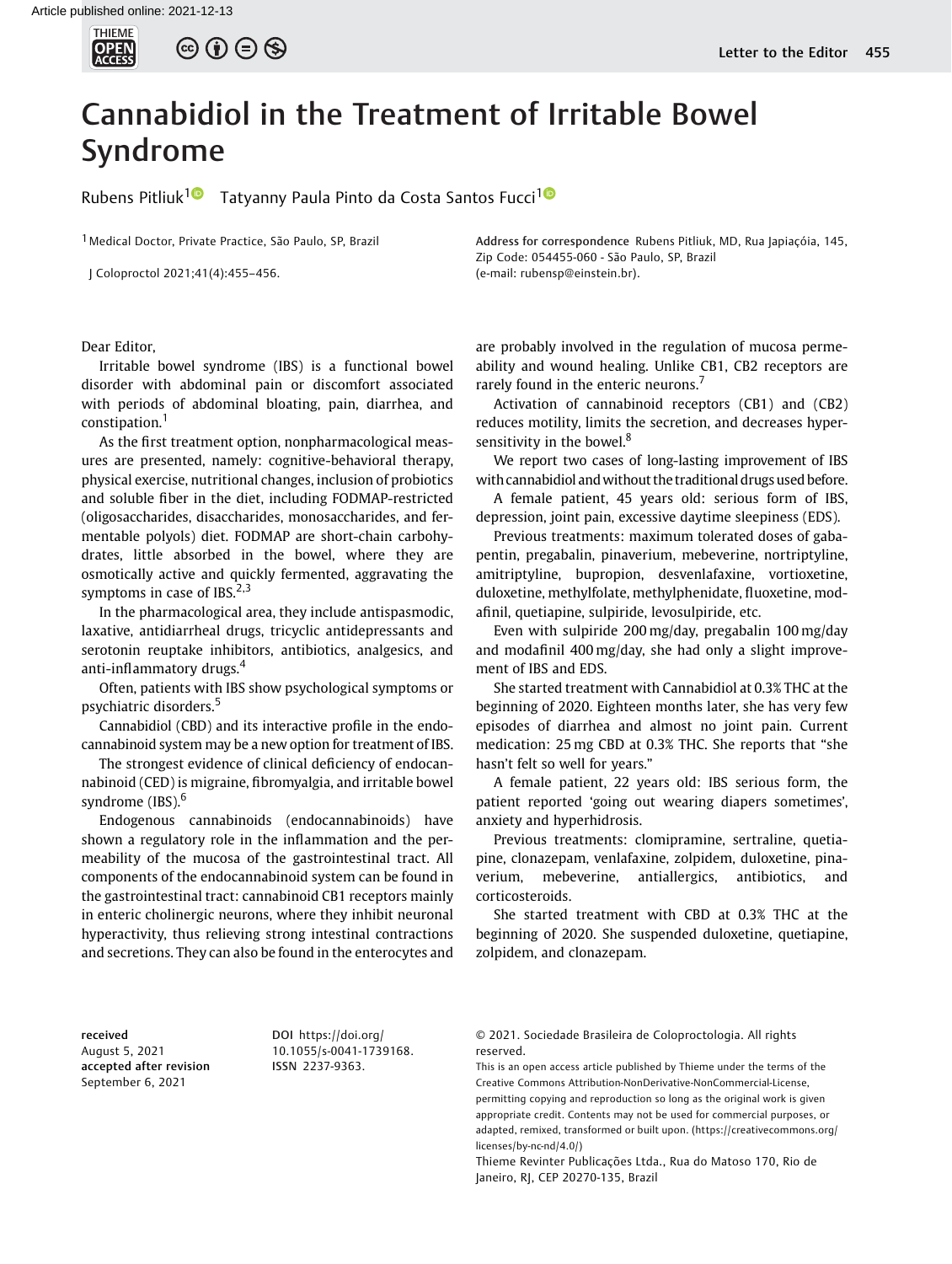## Cannabidiol in the Treatment of Irritable Bowel Syndrome

Rubens Pitliuk<sup>[1](https://orcid.org/0000-0001-8186-8415)</sup><sup>1</sup> Tatyanny Paula Pinto da Costa Santos Fucci<sup>1</sup><sup>1</sup>

<sup>1</sup> Medical Doctor, Private Practice, São Paulo, SP, Brazil

J Coloproctol 2021;41(4):455–456.

Address for correspondence Rubens Pitliuk, MD, Rua Japiaçóia, 145, Zip Code: 054455-060 - São Paulo, SP, Brazil (e-mail: [rubensp@einstein.br\)](mailto:rubensp@einstein.br).

Dear Editor,

Irritable bowel syndrome (IBS) is a functional bowel disorder with abdominal pain or discomfort associated with periods of abdominal bloating, pain, diarrhea, and constipation.<sup>1</sup>

As the first treatment option, nonpharmacological measures are presented, namely: cognitive-behavioral therapy, physical exercise, nutritional changes, inclusion of probiotics and soluble fiber in the diet, including FODMAP-restricted (oligosaccharides, disaccharides, monosaccharides, and fermentable polyols) diet. FODMAP are short-chain carbohydrates, little absorbed in the bowel, where they are osmotically active and quickly fermented, aggravating the symptoms in case of IBS. $2,3$ 

In the pharmacological area, they include antispasmodic, laxative, antidiarrheal drugs, tricyclic antidepressants and serotonin reuptake inhibitors, antibiotics, analgesics, and anti-inflammatory drugs.<sup>4</sup>

Often, patients with IBS show psychological symptoms or psychiatric disorders.<sup>5</sup>

Cannabidiol (CBD) and its interactive profile in the endocannabinoid system may be a new option for treatment of IBS.

The strongest evidence of clinical deficiency of endocannabinoid (CED) is migraine, fibromyalgia, and irritable bowel syndrome (IBS).<sup>6</sup>

Endogenous cannabinoids (endocannabinoids) have shown a regulatory role in the inflammation and the permeability of the mucosa of the gastrointestinal tract. All components of the endocannabinoid system can be found in the gastrointestinal tract: cannabinoid CB1 receptors mainly in enteric cholinergic neurons, where they inhibit neuronal hyperactivity, thus relieving strong intestinal contractions and secretions. They can also be found in the enterocytes and

received August 5, 2021 accepted after revision September 6, 2021

DOI [https://doi.org/](https://doi.org/10.1055/s-0041-1739168) [10.1055/s-0041-1739168](https://doi.org/10.1055/s-0041-1739168). ISSN 2237-9363.

are probably involved in the regulation of mucosa permeability and wound healing. Unlike CB1, CB2 receptors are rarely found in the enteric neurons.<sup>7</sup>

Activation of cannabinoid receptors (CB1) and (CB2) reduces motility, limits the secretion, and decreases hypersensitivity in the bowel.<sup>8</sup>

We report two cases of long-lasting improvement of IBS with cannabidiol andwithout the traditional drugs used before.

A female patient, 45 years old: serious form of IBS, depression, joint pain, excessive daytime sleepiness (EDS).

Previous treatments: maximum tolerated doses of gabapentin, pregabalin, pinaverium, mebeverine, nortriptyline, amitriptyline, bupropion, desvenlafaxine, vortioxetine, duloxetine, methylfolate, methylphenidate, fluoxetine, modafinil, quetiapine, sulpiride, levosulpiride, etc.

Even with sulpiride 200 mg/day, pregabalin 100 mg/day and modafinil 400 mg/day, she had only a slight improvement of IBS and EDS.

She started treatment with Cannabidiol at 0.3% THC at the beginning of 2020. Eighteen months later, she has very few episodes of diarrhea and almost no joint pain. Current medication: 25 mg CBD at 0.3% THC. She reports that "she hasn't felt so well for years."

A female patient, 22 years old: IBS serious form, the patient reported 'going out wearing diapers sometimes', anxiety and hyperhidrosis.

Previous treatments: clomipramine, sertraline, quetiapine, clonazepam, venlafaxine, zolpidem, duloxetine, pinaverium, mebeverine, antiallergics, antibiotics, and corticosteroids.

She started treatment with CBD at 0.3% THC at the beginning of 2020. She suspended duloxetine, quetiapine, zolpidem, and clonazepam.

© 2021. Sociedade Brasileira de Coloproctologia. All rights reserved.

This is an open access article published by Thieme under the terms of the Creative Commons Attribution-NonDerivative-NonCommercial-License, permitting copying and reproduction so long as the original work is given appropriate credit. Contents may not be used for commercial purposes, or adapted, remixed, transformed or built upon. (https://creativecommons.org/ licenses/by-nc-nd/4.0/)

Thieme Revinter Publicações Ltda., Rua do Matoso 170, Rio de Janeiro, RJ, CEP 20270-135, Brazil